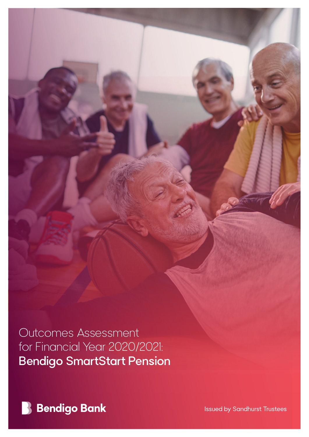Outcomes Assessment for Financial Year 2020/2021: Bendigo SmartStart Pension



Issued by Sandhurst Trustees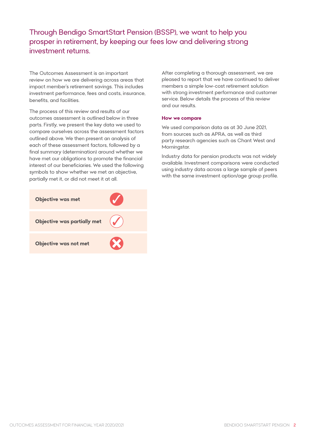Through Bendigo SmartStart Pension (BSSP), we want to help you prosper in retirement, by keeping our fees low and delivering strong investment returns.

The Outcomes Assessment is an important review on how we are delivering across areas that impact member's retirement savings. This includes investment performance, fees and costs, insurance, benefits, and facilities.

The process of this review and results of our outcomes assessment is outlined below in three parts. Firstly, we present the key data we used to compare ourselves across the assessment factors outlined above. We then present an analysis of each of these assessment factors, followed by a final summary (determination) around whether we have met our obligations to promote the financial interest of our beneficiaries. We used the following symbols to show whether we met an objective, partially met it, or did not meet it at all.



After completing a thorough assessment, we are pleased to report that we have continued to deliver members a simple low-cost retirement solution with strong investment performance and customer service. Below details the process of this review and our results.

#### **How we compare**

We used comparison data as at 30 June 2021, from sources such as APRA, as well as third party research agencies such as Chant West and Morningstar.

Industry data for pension products was not widely available. Investment comparisons were conducted using industry data across a large sample of peers with the same investment option/age group profile.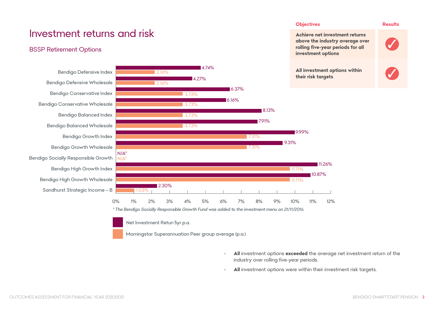# Investment returns and risk

## BSSP Retirement Options





Net Investment Retun 5yr p.a.

Morningstar Superannuation Peer group average (p.a.)

**• All** investment options **exceeded** the average net investment return of the industry over rolling five-year periods.

**Objectives Results** 

**Achieve net investment returns above the industry average over rolling five-year periods for all** 

**All investment options within** 

11.26%

10.87%

**investment options** 

**their risk targets** 

9.99%

9.31%

 $9.71%$ 

9.71%

8.13%

7.91%

**• All** investment options were within their investment risk targets.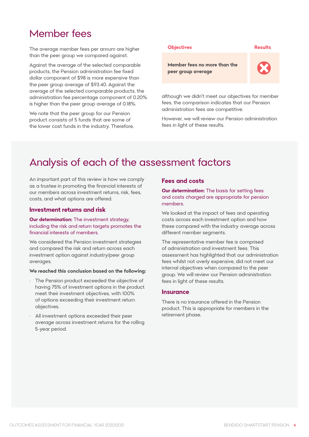## Member fees

The average member fees per annum are higher than the peer group we compared against.

Against the average of the selected comparable products, the Pension administration fee fixed dollar component of \$98 is more expensive than the peer group average of \$93.40. Against the average of the selected comparable products, the administration fee percentage component of 0.20% is higher than the peer group average of 0.18%.

We note that the peer group for our Pension product consists of 5 funds that are some of the lower cost funds in the industry. Therefore,



although we didn't meet our objectives for member fees, the comparison indicates that our Pension administration fees are competitive.

However, we will review our Pension administration fees in light of these results.

# Analysis of each of the assessment factors

An important part of this review is how we comply as a trustee in promoting the financial interests of our members across investment returns, risk, fees, costs, and what options are offered.

#### **Investment returns and risk**

#### **Our determination:** The investment strategy, including the risk and return targets promotes the financial interests of members.

We considered the Pension investment strategies and compared the risk and return across each investment option against industry/peer group averages.

#### **We reached this conclusion based on the following:**

- The Pension product exceeded the objective of having 75% of investment options in the product meet their investment objectives, with 100% of options exceeding their investment return objectives.
- All investment options exceeded their peer average across investment returns for the rolling 5-year period.

## **Fees and costs**

**Our determination:** The basis for setting fees and costs charged are appropriate for pension members.

We looked at the impact of fees and operating costs across each investment option and how these compared with the industry average across different member segments.

The representative member fee is comprised of administration and investment fees. This assessment has highlighted that our administration fees whilst not overly expensive, did not meet our internal objectives when compared to the peer group. We will review our Pension administration fees in light of these results.

#### **Insurance**

There is no insurance offered in the Pension product. This is appropriate for members in the retirement phase.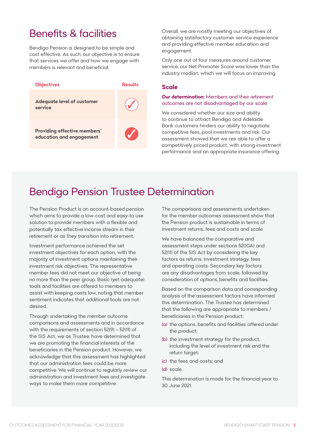# Benefits & facilities

Bendigo Pension is designed to be simple and cost effective. As such, our objective is to ensure that services we offer and how we engage with members is relevant and beneficial.



Overall, we are mostly meeting our objectives of obtaining satisfactory customer service experience and providing effective member education and engagement.

Only one out of four measures around customer service, our Net Promoter Score was lower than the industry median, which we will focus on improving.

### **Scale**

#### **Our determination:** Members and their retirement outcomes are not disadvantaged by our scale

We considered whether our size and ability to continue to attract Bendigo and Adelaide Bank customers hinders our ability to negotiate competitive fees, pool investments and risk. Our assessment showed that we are able to offer a competitively priced product, with strong investment performance and an appropriate insurance offering.

# Bendigo Pension Trustee Determination

The Pension Product is an account-based pension which aims to provide a low-cost and easy-to use solution to provide members with a flexible and potentially tax effective income stream in their retirement or as they transition into retirement.

Investment performance achieved the set investment objectives for each option, with the majority of investment options maintaining their investment risk objectives. The representative member fees did not meet our objective of being no more than the peer group. Basic (yet adequate) tools and facilities are offered to members to assist with keeping costs low, noting that member sentiment indicates that additional tools are not desired.

Through undertaking the member outcome comparisons and assessments and in accordance with the requirements of section 52(9) – 52(11) of the SIS Act, we as Trustee, have determined that we are promoting the financial interests of the beneficiaries in the Pension product. However, we acknowledge that this assessment has highlighted that our administration fees could be more competitive. We will continue to regularly review our administration and investment fees and investigate ways to make them more competitive.

The comparisons and assessments undertaken for the member outcomes assessment show that the Pension product is sustainable in terms of investment returns, fees and costs and scale.

We have balanced the comparative and assessment steps under sections 52(10A) and 52(11) of the SIS Act by considering the key factors as returns, investment strategy, fees and operating costs. Secondary key factors are any disadvantages from scale, followed by consideration of options, benefits and facilities.

Based on the comparison data and corresponding analysis of the assessment factors have informed this determination. The Trustee has determined that the following are appropriate to members / beneficiaries in the Pension product:

- (a) the options, benefits and facilities offered under the product;
- (b) the investment strategy for the product, including the level of investment risk and the return target;
- (c) the fees and costs; and
- (d) scale.

This determination is made for the financial year to 30 June 2021.